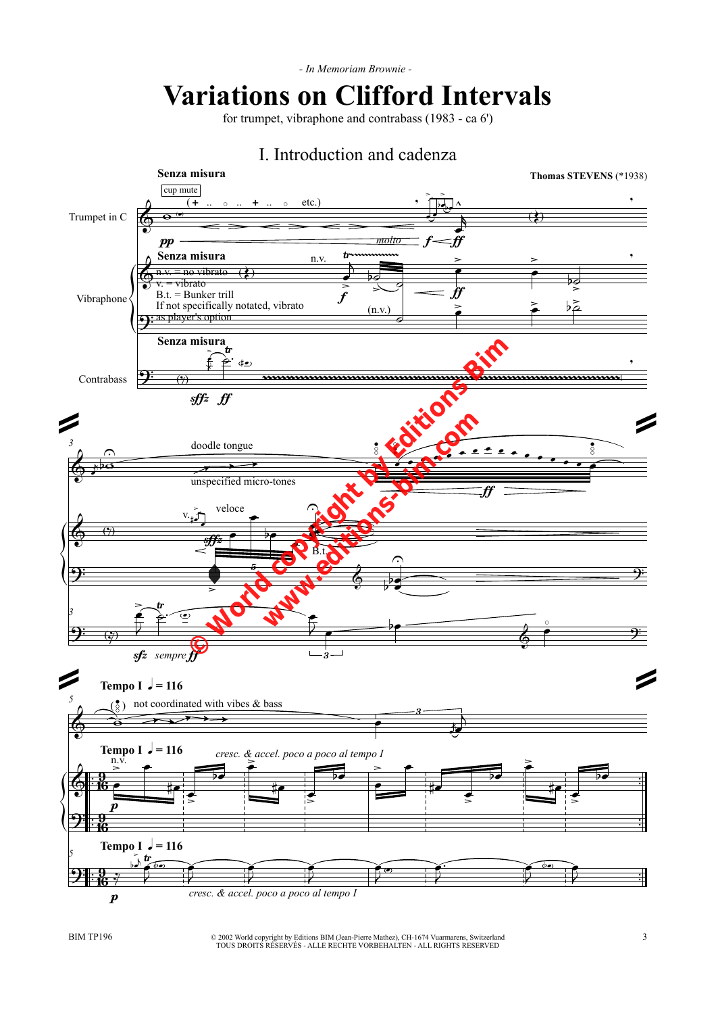*- In Memoriam Brownie -* 

## **Variations on Clifford Intervals**

for trumpet, vibraphone and contrabass (1983 - ca 6')

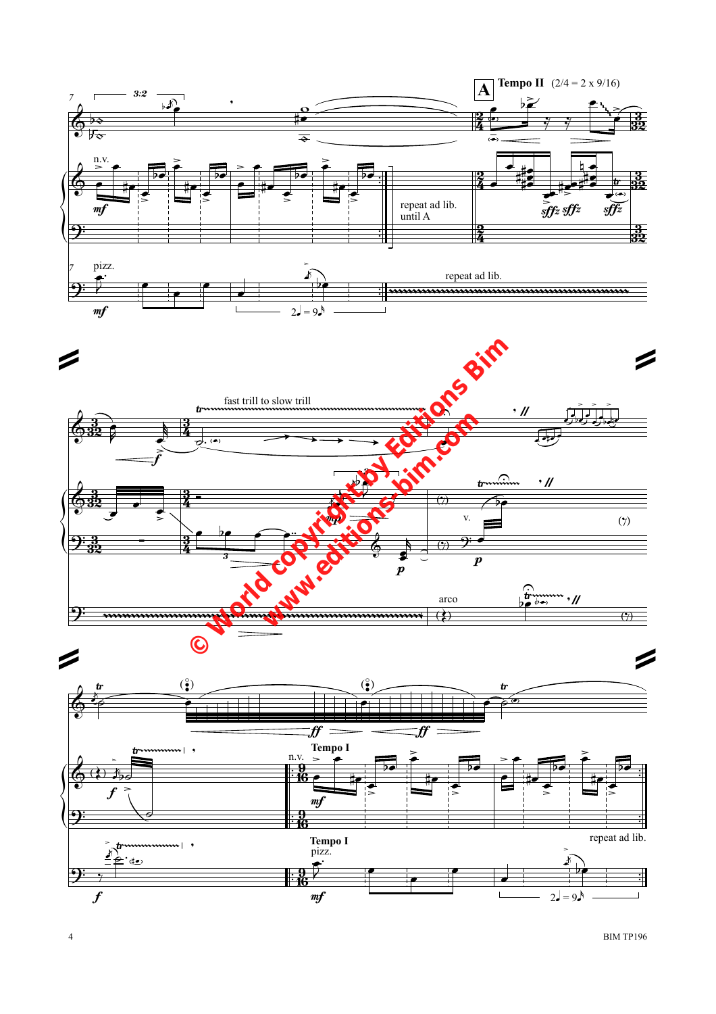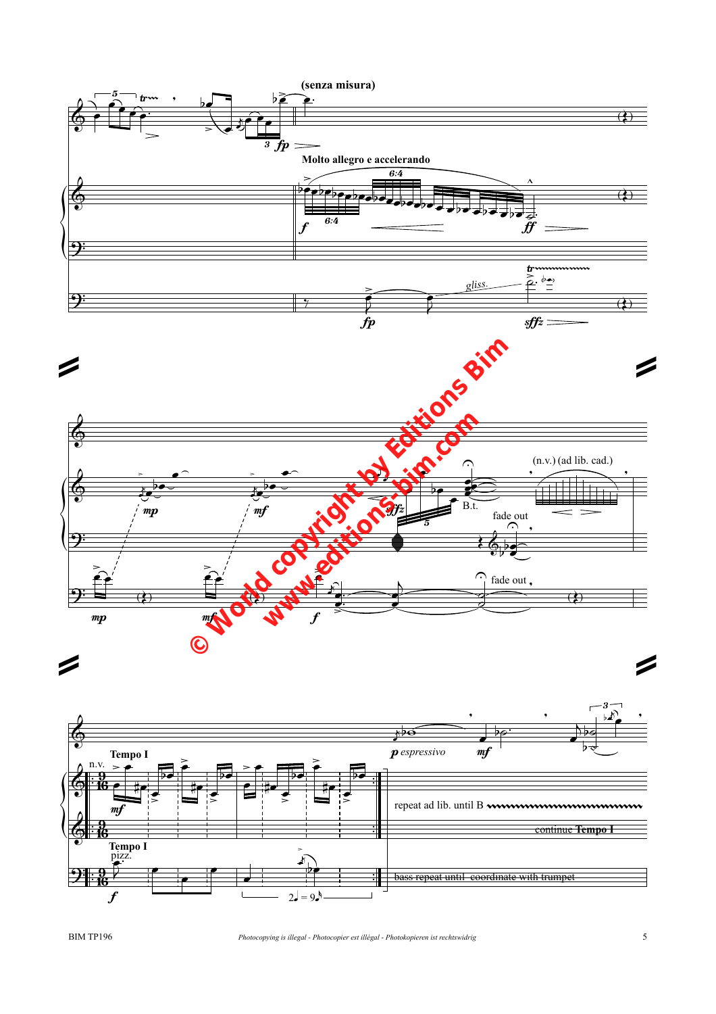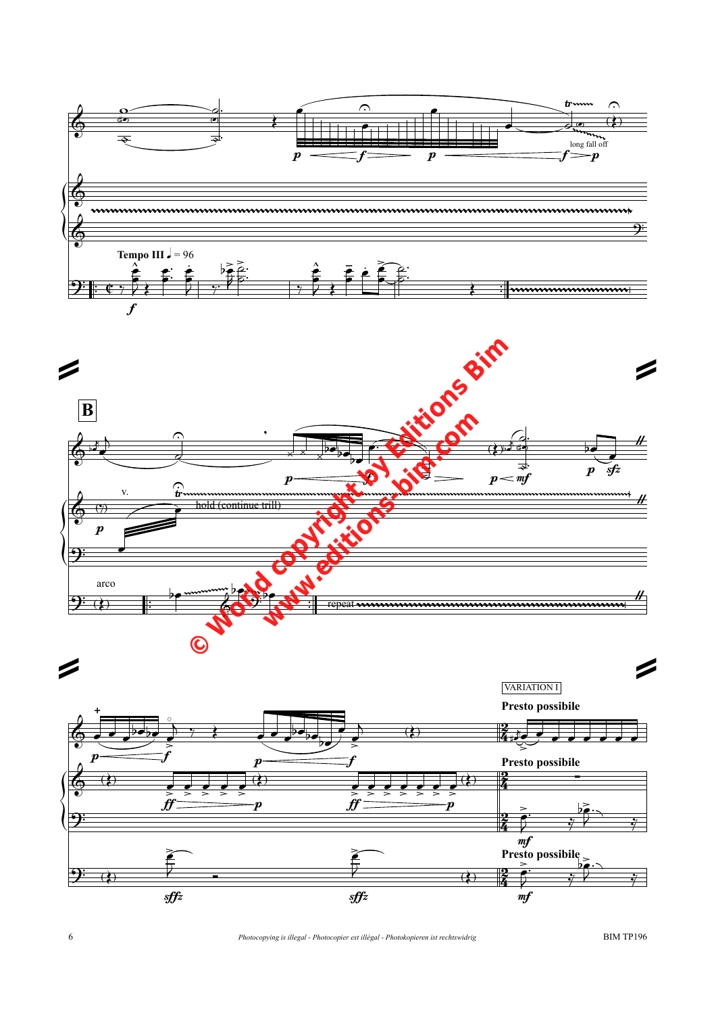





6 *Photocopying is illegal - Photocopier est illégal - Photokopieren ist rechtswidrig* BIM TP196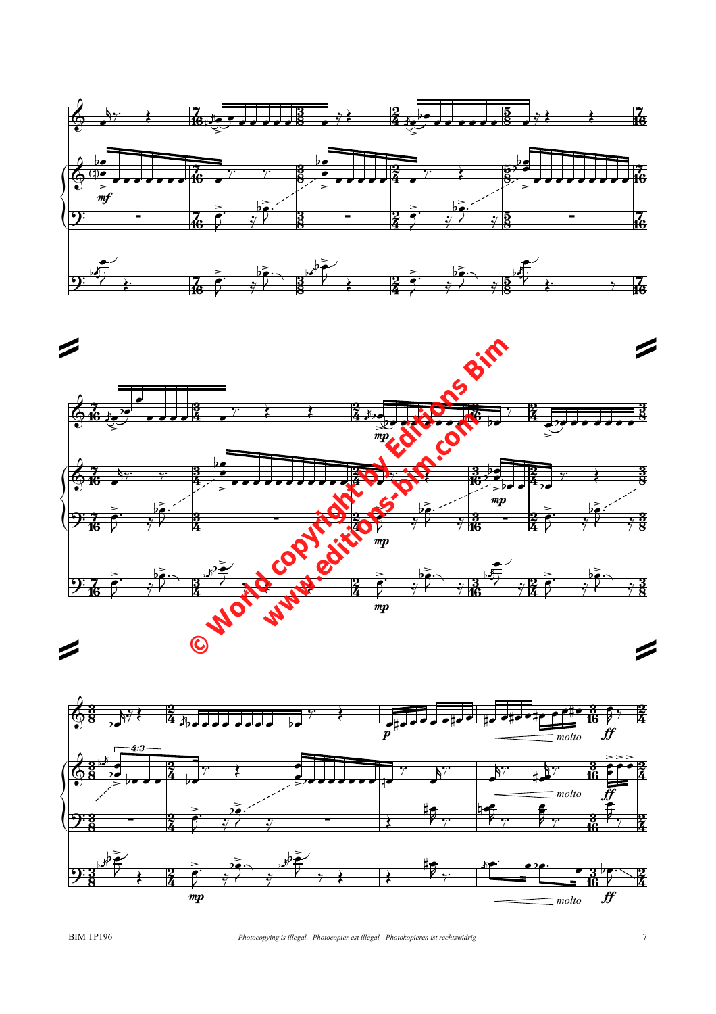